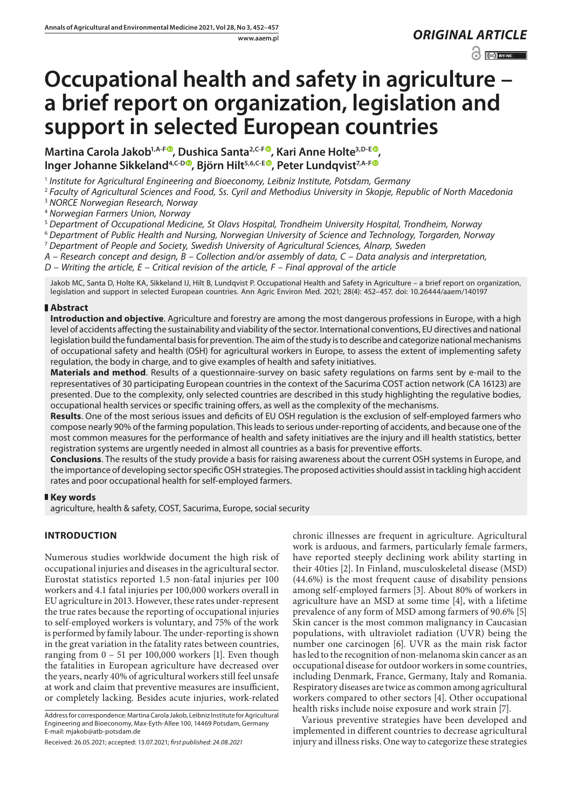www.aaem.pl *ORIGINAL [ARTICLE](https://creativecommons.org/licenses/by-nc/3.0/pl/deed.en)* 

 $\odot$   $\odot$  BY-NC

# **Occupational health and safety in agriculture – a brief report on organization, legislation and support in selected European countries**

**Martina Carola Jakob<sup>1[,](https://orcid.org/0000-0002-2329-6348)A-F®</sup>, Dushica Santa<sup>2,C-F®</sup>, Kari Anne Holte<sup>3,D-E®</sup>, Inger Johanne Sikkeland<sup>4[,](https://orcid.org/0000-0002-0773-1223)C-D®</sup>, Björn Hilt<sup>5,6,C-[E](https://orcid.org/0000-0002-3548-758X)®</sup>, Peter Lundqvist<sup>7,A-F®</sup>** 

<sup>1</sup> *Institute for Agricultural Engineering and Bioeconomy, Leibniz Institute, Potsdam, Germany*

<sup>2</sup> *Faculty of Agricultural Sciences and Food, Ss. Cyril and Methodius University in Skopje, Republic of North Macedonia*

<sup>3</sup> *NORCE Norwegian Research, Norway*

<sup>4</sup> *Norwegian Farmers Union, Norway*

<sup>5</sup> *Department of Occupational Medicine, St Olavs Hospital, Trondheim University Hospital, Trondheim, Norway*

<sup>6</sup> *Department of Public Health and Nursing, Norwegian University of Science and Technology, Torgarden, Norway*

<sup>7</sup> *Department of People and Society, Swedish University of Agricultural Sciences, Alnarp, Sweden*

*A – Research concept and design, B – Collection and/or assembly of data, C – Data analysis and interpretation,* 

*D – Writing the article, E – Critical revision of the article, F – Final approval of the article*

Jakob MC, Santa D, Holte KA, Sikkeland IJ, Hilt B, Lundqvist P. Occupational Health and Safety in Agriculture – a brief report on organization, legislation and support in selected European countries. Ann Agric Environ Med. 2021; 28(4): 452–457. doi: 10.26444/aaem/140197

### **Abstract**

**Introduction and objective**. Agriculture and forestry are among the most dangerous professions in Europe, with a high level of accidents affecting the sustainability and viability of the sector. International conventions, EU directives and national legislation build the fundamental basis for prevention. The aim of the study is to describe and categorize national mechanisms of occupational safety and health (OSH) for agricultural workers in Europe, to assess the extent of implementing safety regulation, the body in charge, and to give examples of health and safety initiatives.

**Materials and method**. Results of a questionnaire-survey on basic safety regulations on farms sent by e-mail to the representatives of 30 participating European countries in the context of the Sacurima COST action network (CA 16123) are presented. Due to the complexity, only selected countries are described in this study highlighting the regulative bodies, occupational health services or specific training offers, as well as the complexity of the mechanisms.

**Results**. One of the most serious issues and deficits of EU OSH regulation is the exclusion of self-employed farmers who compose nearly 90% of the farming population. This leads to serious under-reporting of accidents, and because one of the most common measures for the performance of health and safety initiatives are the injury and ill health statistics, better registration systems are urgently needed in almost all countries as a basis for preventive efforts.

**Conclusions**. The results of the study provide a basis for raising awareness about the current OSH systems in Europe, and the importance of developing sector specific OSH strategies. The proposed activities should assist in tackling high accident rates and poor occupational health for self-employed farmers.

## **Key words**

agriculture, health & safety, COST, Sacurima, Europe, social security

# **INTRODUCTION**

Numerous studies worldwide document the high risk of occupational injuries and diseases in the agricultural sector. Eurostat statistics reported 1.5 non-fatal injuries per 100 workers and 4.1 fatal injuries per 100,000 workers overall in EU agriculture in 2013. However, these rates under-represent the true rates because the reporting of occupational injuries to self-employed workers is voluntary, and 75% of the work is performed by family labour. The under-reporting is shown in the great variation in the fatality rates between countries, ranging from  $0 - 51$  per 100,000 workers [1]. Even though the fatalities in European agriculture have decreased over the years, nearly 40% of agricultural workers still feel unsafe at work and claim that preventive measures are insufficient, or completely lacking. Besides acute injuries, work-related

Address for correspondence: Martina Carola Jakob, Leibniz Institute for Agricultural Engineering and Bioeconomy, Max-Eyth-Allee 100, 14469 Potsdam, Germany E-mail: mjakob@atb-potsdam.de

chronic illnesses are frequent in agriculture. Agricultural work is arduous, and farmers, particularly female farmers, have reported steeply declining work ability starting in their 40ties [2]. In Finland, musculoskeletal disease (MSD) (44.6%) is the most frequent cause of disability pensions among self-employed farmers [3]. About 80% of workers in agriculture have an MSD at some time [4], with a lifetime prevalence of any form of MSD among farmers of 90.6% [5] Skin cancer is the most common malignancy in Caucasian populations, with ultraviolet radiation (UVR) being the number one carcinogen [6]. UVR as the main risk factor has led to the recognition of non-melanoma skin cancer as an occupational disease for outdoor workers in some countries, including Denmark, France, Germany, Italy and Romania. Respiratory diseases are twice as common among agricultural workers compared to other sectors [4]. Other occupational health risks include noise exposure and work strain [7].

Various preventive strategies have been developed and implemented in different countries to decrease agricultural injury and illness risks. One way to categorize these strategies

Received: 26.05.2021; accepted: 13.07.2021; *first published: 24.08.2021*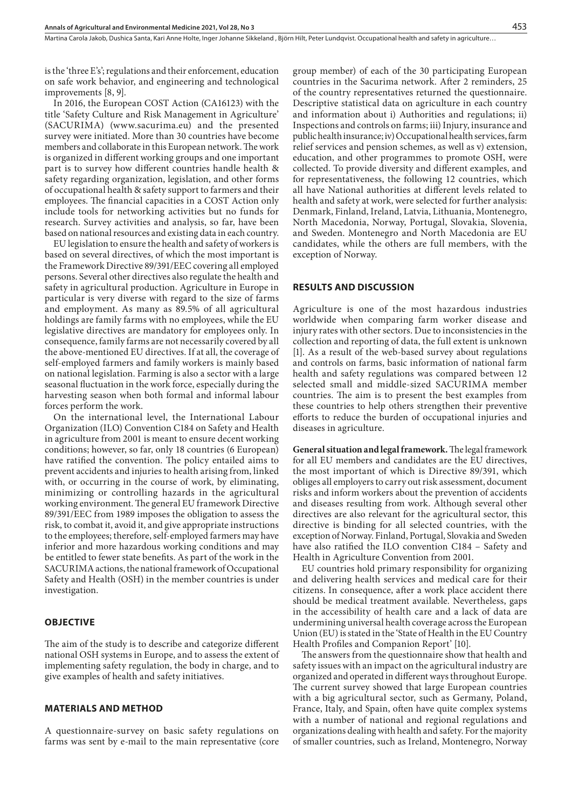Martina Carola Jakob, Dushica Santa, Kari Anne Holte, Inger Johanne Sikkeland , Biörn Hilt, Peter Lundqvist, Occupational health and safety in agriculture...

is the 'three E's'; regulations and their enforcement, education on safe work behavior, and engineering and technological improvements [8, 9].

In 2016, the European COST Action (CA16123) with the title 'Safety Culture and Risk Management in Agriculture' (SACURIMA) (www.sacurima.eu) and the presented survey were initiated. More than 30 countries have become members and collaborate in this European network. The work is organized in different working groups and one important part is to survey how different countries handle health & safety regarding organization, legislation, and other forms of occupational health & safety support to farmers and their employees. The financial capacities in a COST Action only include tools for networking activities but no funds for research. Survey activities and analysis, so far, have been based on national resources and existing data in each country.

EU legislation to ensure the health and safety of workers is based on several directives, of which the most important is the Framework Directive 89/391/EEC covering all employed persons. Several other directives also regulate the health and safety in agricultural production. Agriculture in Europe in particular is very diverse with regard to the size of farms and employment. As many as 89.5% of all agricultural holdings are family farms with no employees, while the EU legislative directives are mandatory for employees only. In consequence, family farms are not necessarily covered by all the above-mentioned EU directives. If at all, the coverage of self-employed farmers and family workers is mainly based on national legislation. Farming is also a sector with a large seasonal fluctuation in the work force, especially during the harvesting season when both formal and informal labour forces perform the work.

On the international level, the International Labour Organization (ILO) Convention C184 on Safety and Health in agriculture from 2001 is meant to ensure decent working conditions; however, so far, only 18 countries (6 European) have ratified the convention. The policy entailed aims to prevent accidents and injuries to health arising from, linked with, or occurring in the course of work, by eliminating, minimizing or controlling hazards in the agricultural working environment. The general EU framework Directive 89/391/EEC from 1989 imposes the obligation to assess the risk, to combat it, avoid it, and give appropriate instructions to the employees; therefore, self-employed farmers may have inferior and more hazardous working conditions and may be entitled to fewer state benefits. As part of the work in the SACURIMA actions, the national framework of Occupational Safety and Health (OSH) in the member countries is under investigation.

#### **OBJECTIVE**

The aim of the study is to describe and categorize different national OSH systems in Europe, and to assess the extent of implementing safety regulation, the body in charge, and to give examples of health and safety initiatives.

#### **MATERIALS AND METHOD**

A questionnaire-survey on basic safety regulations on farms was sent by e-mail to the main representative (core group member) of each of the 30 participating European countries in the Sacurima network. After 2 reminders, 25 of the country representatives returned the questionnaire. Descriptive statistical data on agriculture in each country and information about i) Authorities and regulations; ii) Inspections and controls on farms; iii) Injury, insurance and public health insurance; iv) Occupational health services, farm relief services and pension schemes, as well as v) extension, education, and other programmes to promote OSH, were collected. To provide diversity and different examples, and for representativeness, the following 12 countries, which all have National authorities at different levels related to health and safety at work, were selected for further analysis: Denmark, Finland, Ireland, Latvia, Lithuania, Montenegro, North Macedonia, Norway, Portugal, Slovakia, Slovenia, and Sweden. Montenegro and North Macedonia are EU candidates, while the others are full members, with the exception of Norway.

#### **RESULTS AND DISCUSSION**

Agriculture is one of the most hazardous industries worldwide when comparing farm worker disease and injury rates with other sectors. Due to inconsistencies in the collection and reporting of data, the full extent is unknown [1]. As a result of the web-based survey about regulations and controls on farms, basic information of national farm health and safety regulations was compared between 12 selected small and middle-sized SACURIMA member countries. The aim is to present the best examples from these countries to help others strengthen their preventive efforts to reduce the burden of occupational injuries and diseases in agriculture.

**General situation and legal framework.** The legal framework for all EU members and candidates are the EU directives, the most important of which is Directive 89/391, which obliges all employers to carry out risk assessment, document risks and inform workers about the prevention of accidents and diseases resulting from work. Although several other directives are also relevant for the agricultural sector, this directive is binding for all selected countries, with the exception of Norway. Finland, Portugal, Slovakia and Sweden have also ratified the ILO convention C184 – Safety and Health in Agriculture Convention from 2001.

EU countries hold primary responsibility for organizing and delivering health services and medical care for their citizens. In consequence, after a work place accident there should be medical treatment available. Nevertheless, gaps in the accessibility of health care and a lack of data are undermining universal health coverage across the European Union (EU) is stated in the 'State of Health in the EU Country Health Profiles and Companion Report' [10].

The answers from the questionnaire show that health and safety issues with an impact on the agricultural industry are organized and operated in different ways throughout Europe. The current survey showed that large European countries with a big agricultural sector, such as Germany, Poland, France, Italy, and Spain, often have quite complex systems with a number of national and regional regulations and organizations dealing with health and safety. For the majority of smaller countries, such as Ireland, Montenegro, Norway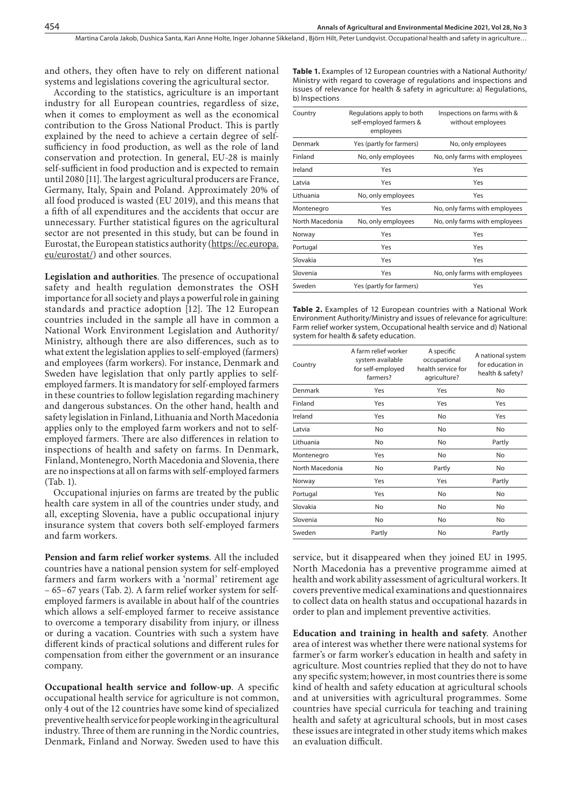Martina Carola Jakob, Dushica Santa, Kari Anne Holte, Inger Johanne Sikkeland , Biörn Hilt, Peter Lundqvist, Occupational health and safety in agriculture...

and others, they often have to rely on different national systems and legislations covering the agricultural sector.

According to the statistics, agriculture is an important industry for all European countries, regardless of size, when it comes to employment as well as the economical contribution to the Gross National Product. This is partly explained by the need to achieve a certain degree of selfsufficiency in food production, as well as the role of land conservation and protection. In general, EU-28 is mainly self-sufficient in food production and is expected to remain until 2080 [11]. The largest agricultural producers are France, Germany, Italy, Spain and Poland. Approximately 20% of all food produced is wasted (EU 2019), and this means that a fifth of all expenditures and the accidents that occur are unnecessary. Further statistical figures on the agricultural sector are not presented in this study, but can be found in Eurostat, the European statistics authority ([https://ec.europa.](https://ec.europa.eu/eurostat/) [eu/eurostat/](https://ec.europa.eu/eurostat/)) and other sources.

**Legislation and authorities**. The presence of occupational safety and health regulation demonstrates the OSH importance for all society and plays a powerful role in gaining standards and practice adoption [12]. The 12 European countries included in the sample all have in common a National Work Environment Legislation and Authority/ Ministry, although there are also differences, such as to what extent the legislation applies to self-employed (farmers) and employees (farm workers). For instance, Denmark and Sweden have legislation that only partly applies to selfemployed farmers. It is mandatory for self-employed farmers in these countries to follow legislation regarding machinery and dangerous substances. On the other hand, health and safety legislation in Finland, Lithuania and North Macedonia applies only to the employed farm workers and not to selfemployed farmers. There are also differences in relation to inspections of health and safety on farms. In Denmark, Finland, Montenegro, North Macedonia and Slovenia, there are no inspections at all on farms with self-employed farmers (Tab. 1).

Occupational injuries on farms are treated by the public health care system in all of the countries under study, and all, excepting Slovenia, have a public occupational injury insurance system that covers both self-employed farmers and farm workers.

**Pension and farm relief worker systems**. All the included countries have a national pension system for self-employed farmers and farm workers with a 'normal' retirement age – 65–67 years (Tab. 2). A farm relief worker system for selfemployed farmers is available in about half of the countries which allows a self-employed farmer to receive assistance to overcome a temporary disability from injury, or illness or during a vacation. Countries with such a system have different kinds of practical solutions and different rules for compensation from either the government or an insurance company.

**Occupational health service and follow-up**. A specific occupational health service for agriculture is not common, only 4 out of the 12 countries have some kind of specialized preventive health service for people working in the agricultural industry. Three of them are running in the Nordic countries, Denmark, Finland and Norway. Sweden used to have this Table 1. Examples of 12 European countries with a National Authority/ Ministry with regard to coverage of regulations and inspections and issues of relevance for health & safety in agriculture: a) Regulations, b) Inspections

| Country         | Regulations apply to both<br>self-employed farmers &<br>employees | Inspections on farms with &<br>without employees |  |
|-----------------|-------------------------------------------------------------------|--------------------------------------------------|--|
| Denmark         | Yes (partly for farmers)                                          | No, only employees                               |  |
| Finland         | No, only employees                                                | No, only farms with employees                    |  |
| Ireland         | Yes                                                               | Yes                                              |  |
| Latvia          | Yes                                                               | Yes                                              |  |
| Lithuania       | No, only employees                                                | Yes                                              |  |
| Montenegro      | Yes                                                               | No, only farms with employees                    |  |
| North Macedonia | No, only employees                                                | No, only farms with employees                    |  |
| Norway          | Yes                                                               | Yes                                              |  |
| Portugal        | Yes                                                               | Yes                                              |  |
| Slovakia        | Yes                                                               | Yes                                              |  |
| Slovenia        | Yes                                                               | No, only farms with employees                    |  |
| Sweden          | Yes (partly for farmers)                                          | Yes                                              |  |

**Table 2.** Examples of 12 European countries with a National Work Environment Authority/Ministry and issues of relevance for agriculture: Farm relief worker system, Occupational health service and d) National system for health & safety education.

| Country         | A farm relief worker<br>system available<br>for self-employed<br>farmers? | A specific<br>occupational<br>health service for<br>agriculture? | A national system<br>for education in<br>health & safety? |
|-----------------|---------------------------------------------------------------------------|------------------------------------------------------------------|-----------------------------------------------------------|
| Denmark         | Yes                                                                       | Yes                                                              | No                                                        |
| Finland         | Yes                                                                       | Yes                                                              | Yes                                                       |
| Ireland         | Yes                                                                       | No                                                               | Yes                                                       |
| Latvia          | No                                                                        | No                                                               | No                                                        |
| Lithuania       | No                                                                        | No                                                               | Partly                                                    |
| Montenegro      | Yes                                                                       | No                                                               | No                                                        |
| North Macedonia | No                                                                        | Partly                                                           | No                                                        |
| Norway          | Yes                                                                       | Yes                                                              | Partly                                                    |
| Portugal        | Yes                                                                       | No                                                               | No                                                        |
| Slovakia        | No                                                                        | No                                                               | No                                                        |
| Slovenia        | No                                                                        | No                                                               | No                                                        |
| Sweden          | Partly                                                                    | No                                                               | Partly                                                    |

service, but it disappeared when they joined EU in 1995. North Macedonia has a preventive programme aimed at health and work ability assessment of agricultural workers. It covers preventive medical examinations and questionnaires to collect data on health status and occupational hazards in order to plan and implement preventive activities.

**Education and training in health and safety**. Another area of interest was whether there were national systems for farmer's or farm worker's education in health and safety in agriculture. Most countries replied that they do not to have any specific system; however, in most countries there is some kind of health and safety education at agricultural schools and at universities with agricultural programmes. Some countries have special curricula for teaching and training health and safety at agricultural schools, but in most cases these issues are integrated in other study items which makes an evaluation difficult.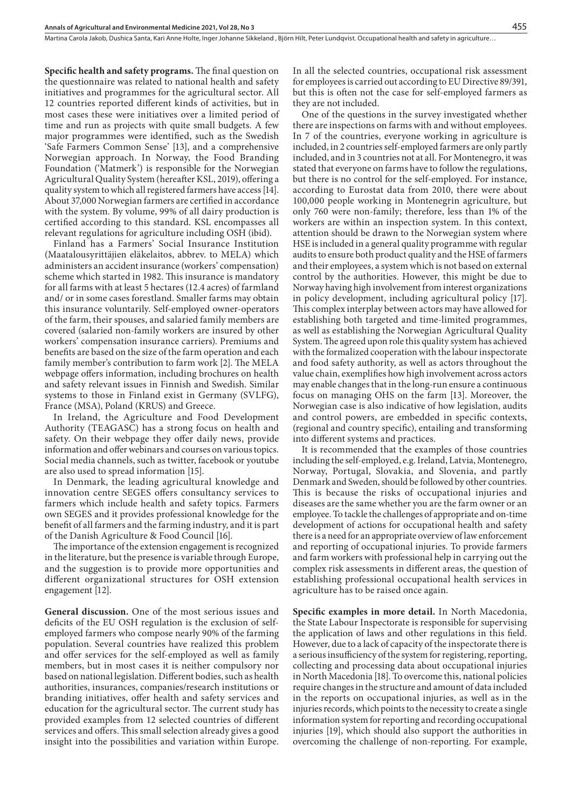Martina Carola Jakob, Dushica Santa, Kari Anne Holte, Inger Johanne Sikkeland , Biörn Hilt, Peter Lundqvist, Occupational health and safety in agriculture...

**Specific health and safety programs.** The final question on the questionnaire was related to national health and safety initiatives and programmes for the agricultural sector. All 12 countries reported different kinds of activities, but in most cases these were initiatives over a limited period of time and run as projects with quite small budgets. A few major programmes were identified, such as the Swedish 'Safe Farmers Common Sense' [13], and a comprehensive Norwegian approach. In Norway, the Food Branding Foundation ('Matmerk') is responsible for the Norwegian Agricultural Quality System (hereafter KSL, 2019), offering a quality system to which all registered farmers have access [14]. About 37,000 Norwegian farmers are certified in accordance with the system. By volume, 99% of all dairy production is certified according to this standard. KSL encompasses all relevant regulations for agriculture including OSH (ibid).

Finland has a Farmers' Social Insurance Institution (Maatalousyrittäjien eläkelaitos, abbrev. to MELA) which administers an accident insurance (workers' compensation) scheme which started in 1982. This insurance is mandatory for all farms with at least 5 hectares (12.4 acres) of farmland and/ or in some cases forestland. Smaller farms may obtain this insurance voluntarily. Self-employed owner-operators of the farm, their spouses, and salaried family members are covered (salaried non-family workers are insured by other workers' compensation insurance carriers). Premiums and benefits are based on the size of the farm operation and each family member's contribution to farm work [2]. The MELA webpage offers information, including brochures on health and safety relevant issues in Finnish and Swedish. Similar systems to those in Finland exist in Germany (SVLFG), France (MSA), Poland (KRUS) and Greece.

In Ireland, the Agriculture and Food Development Authority (TEAGASC) has a strong focus on health and safety. On their webpage they offer daily news, provide information and offer webinars and courses on various topics. Social media channels, such as twitter, facebook or youtube are also used to spread information [15].

In Denmark, the leading agricultural knowledge and innovation centre SEGES offers consultancy services to farmers which include health and safety topics. Farmers own SEGES and it provides professional knowledge for the benefit of all farmers and the farming industry, and it is part of the Danish Agriculture & Food Council [16].

The importance of the extension engagement is recognized in the literature, but the presence is variable through Europe, and the suggestion is to provide more opportunities and different organizational structures for OSH extension engagement [12].

**General discussion.** One of the most serious issues and deficits of the EU OSH regulation is the exclusion of selfemployed farmers who compose nearly 90% of the farming population. Several countries have realized this problem and offer services for the self-employed as well as family members, but in most cases it is neither compulsory nor based on national legislation. Different bodies, such as health authorities, insurances, companies/research institutions or branding initiatives, offer health and safety services and education for the agricultural sector. The current study has provided examples from 12 selected countries of different services and offers. This small selection already gives a good insight into the possibilities and variation within Europe.

In all the selected countries, occupational risk assessment for employees is carried out according to EU Directive 89/391, but this is often not the case for self-employed farmers as they are not included.

One of the questions in the survey investigated whether there are inspections on farms with and without employees. In 7 of the countries, everyone working in agriculture is included, in 2 countries self-employed farmers are only partly included, and in 3 countries not at all. For Montenegro, it was stated that everyone on farms have to follow the regulations, but there is no control for the self-employed. For instance, according to Eurostat data from 2010, there were about 100,000 people working in Montenegrin agriculture, but only 760 were non-family; therefore, less than 1% of the workers are within an inspection system. In this context, attention should be drawn to the Norwegian system where HSE is included in a general quality programme with regular audits to ensure both product quality and the HSE of farmers and their employees, a system which is not based on external control by the authorities. However, this might be due to Norway having high involvement from interest organizations in policy development, including agricultural policy [17]. This complex interplay between actors may have allowed for establishing both targeted and time-limited programmes, as well as establishing the Norwegian Agricultural Quality System. The agreed upon role this quality system has achieved with the formalized cooperation with the labour inspectorate and food safety authority, as well as actors throughout the value chain, exemplifies how high involvement across actors may enable changes that in the long-run ensure a continuous focus on managing OHS on the farm [13]. Moreover, the Norwegian case is also indicative of how legislation, audits and control powers, are embedded in specific contexts, (regional and country specific), entailing and transforming into different systems and practices.

It is recommended that the examples of those countries including the self-employed, e.g. Ireland, Latvia, Montenegro, Norway, Portugal, Slovakia, and Slovenia, and partly Denmark and Sweden, should be followed by other countries. This is because the risks of occupational injuries and diseases are the same whether you are the farm owner or an employee. To tackle the challenges of appropriate and on-time development of actions for occupational health and safety there is a need for an appropriate overview of law enforcement and reporting of occupational injuries. To provide farmers and farm workers with professional help in carrying out the complex risk assessments in different areas, the question of establishing professional occupational health services in agriculture has to be raised once again.

**Specific examples in more detail.** In North Macedonia, the State Labour Inspectorate is responsible for supervising the application of laws and other regulations in this field. However, due to a lack of capacity of the inspectorate there is a serious insufficiency of the system for registering, reporting, collecting and processing data about occupational injuries in North Macedonia [18]. To overcome this, national policies require changes in the structure and amount of data included in the reports on occupational injuries, as well as in the injuries records, which points to the necessity to create a single information system for reporting and recording occupational injuries [19], which should also support the authorities in overcoming the challenge of non-reporting. For example,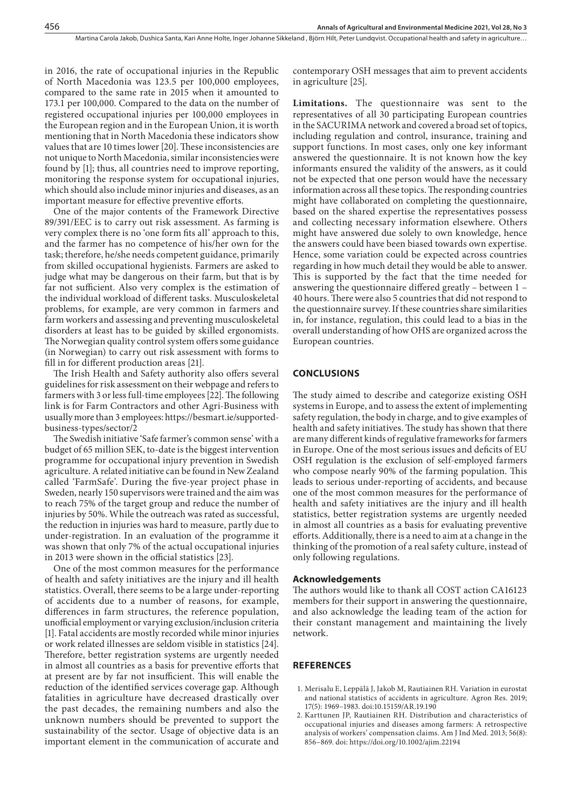in 2016, the rate of occupational injuries in the Republic of North Macedonia was 123.5 per 100,000 employees, compared to the same rate in 2015 when it amounted to 173.1 per 100,000. Compared to the data on the number of registered occupational injuries per 100,000 employees in the European region and in the European Union, it is worth mentioning that in North Macedonia these indicators show values that are 10 times lower [20]. These inconsistencies are not unique to North Macedonia, similar inconsistencies were found by [1]; thus, all countries need to improve reporting, monitoring the response system for occupational injuries, which should also include minor injuries and diseases, as an important measure for effective preventive efforts.

One of the major contents of the Framework Directive 89/391/EEC is to carry out risk assessment. As farming is very complex there is no 'one form fits all' approach to this, and the farmer has no competence of his/her own for the task; therefore, he/she needs competent guidance, primarily from skilled occupational hygienists. Farmers are asked to judge what may be dangerous on their farm, but that is by far not sufficient. Also very complex is the estimation of the individual workload of different tasks. Musculoskeletal problems, for example, are very common in farmers and farm workers and assessing and preventing musculoskeletal disorders at least has to be guided by skilled ergonomists. The Norwegian quality control system offers some guidance (in Norwegian) to carry out risk assessment with forms to fill in for different production areas [21].

The Irish Health and Safety authority also offers several guidelines for risk assessment on their webpage and refers to farmers with 3 or less full-time employees [22]. The following link is for Farm Contractors and other Agri-Business with usually more than 3 employees: https://besmart.ie/supportedbusiness-types/sector/2

The Swedish initiative 'Safe farmer's common sense' with a budget of 65 million SEK, to-date is the biggest intervention programme for occupational injury prevention in Swedish agriculture. A related initiative can be found in New Zealand called 'FarmSafe'. During the five-year project phase in Sweden, nearly 150 supervisors were trained and the aim was to reach 75% of the target group and reduce the number of injuries by 50%. While the outreach was rated as successful, the reduction in injuries was hard to measure, partly due to under-registration. In an evaluation of the programme it was shown that only 7% of the actual occupational injuries in 2013 were shown in the official statistics [23].

One of the most common measures for the performance of health and safety initiatives are the injury and ill health statistics. Overall, there seems to be a large under-reporting of accidents due to a number of reasons, for example, differences in farm structures, the reference population, unofficial employment or varying exclusion/inclusion criteria [1]. Fatal accidents are mostly recorded while minor injuries or work related illnesses are seldom visible in statistics [24]. Therefore, better registration systems are urgently needed in almost all countries as a basis for preventive efforts that at present are by far not insufficient. This will enable the reduction of the identified services coverage gap. Although fatalities in agriculture have decreased drastically over the past decades, the remaining numbers and also the unknown numbers should be prevented to support the sustainability of the sector. Usage of objective data is an important element in the communication of accurate and

contemporary OSH messages that aim to prevent accidents in agriculture [25].

**Limitations.** The questionnaire was sent to the representatives of all 30 participating European countries in the SACURIMA network and covered a broad set of topics, including regulation and control, insurance, training and support functions. In most cases, only one key informant answered the questionnaire. It is not known how the key informants ensured the validity of the answers, as it could not be expected that one person would have the necessary information across all these topics. The responding countries might have collaborated on completing the questionnaire, based on the shared expertise the representatives possess and collecting necessary information elsewhere. Others might have answered due solely to own knowledge, hence the answers could have been biased towards own expertise. Hence, some variation could be expected across countries regarding in how much detail they would be able to answer. This is supported by the fact that the time needed for answering the questionnaire differed greatly – between 1 – 40 hours. There were also 5 countries that did not respond to the questionnaire survey. If these countries share similarities in, for instance, regulation, this could lead to a bias in the overall understanding of how OHS are organized across the European countries.

#### **CONCLUSIONS**

The study aimed to describe and categorize existing OSH systems in Europe, and to assess the extent of implementing safety regulation, the body in charge, and to give examples of health and safety initiatives. The study has shown that there are many different kinds of regulative frameworks for farmers in Europe. One of the most serious issues and deficits of EU OSH regulation is the exclusion of self-employed farmers who compose nearly 90% of the farming population. This leads to serious under-reporting of accidents, and because one of the most common measures for the performance of health and safety initiatives are the injury and ill health statistics, better registration systems are urgently needed in almost all countries as a basis for evaluating preventive efforts. Additionally, there is a need to aim at a change in the thinking of the promotion of a real safety culture, instead of only following regulations.

#### **Acknowledgements**

The authors would like to thank all COST action CA16123 members for their support in answering the questionnaire, and also acknowledge the leading team of the action for their constant management and maintaining the lively network.

#### **REFERENCES**

- 1. Merisalu E, Leppälä J, Jakob M, Rautiainen RH. Variation in eurostat and national statistics of accidents in agriculture. Agron Res. 2019; 17(5): 1969–1983. doi:10.15159/AR.19.190
- 2. Karttunen JP, Rautiainen RH. Distribution and characteristics of occupational injuries and diseases among farmers: A retrospective analysis of workers' compensation claims. Am J Ind Med. 2013; 56(8): 856–869. doi: https://doi.org/10.1002/ajim.22194